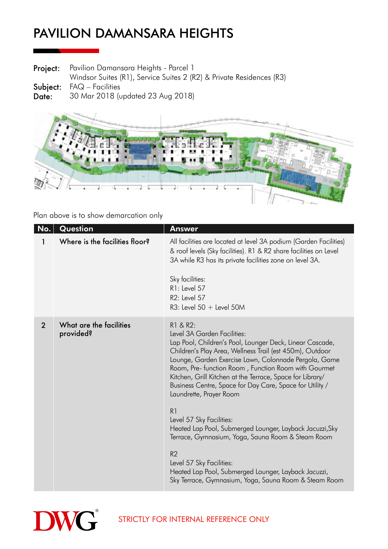Project: Pavilion Damansara Heights - Parcel 1

Windsor Suites (R1), Service Suites 2 (R2) & Private Residences (R3)

Subject: FAQ – Facilities

Date: 30 Mar 2018 (updated 23 Aug 2018)



Plan above is to show demarcation only

| No.            | Question                             | <b>Answer</b>                                                                                                                                                                                                                                                                                                                                                                                                                        |
|----------------|--------------------------------------|--------------------------------------------------------------------------------------------------------------------------------------------------------------------------------------------------------------------------------------------------------------------------------------------------------------------------------------------------------------------------------------------------------------------------------------|
| 1              | Where is the facilities floor?       | All facilities are located at level 3A podium (Garden Facilities)<br>& roof levels (Sky facilities). R1 & R2 share facilities on Level<br>3A while R3 has its private facilities zone on level 3A.<br>Sky facilities:<br>R1: Level 57<br>R2: Level 57<br>$R3$ : Level 50 + Level 50M                                                                                                                                                 |
| $\overline{2}$ | What are the facilities<br>provided? | R1 & R2:<br>Level 3A Garden Facilities:<br>Lap Pool, Children's Pool, Lounger Deck, Linear Cascade,<br>Children's Play Area, Wellness Trail (est 450m), Outdoor<br>Lounge, Garden Exercise Lawn, Colonnade Pergola, Game<br>Room, Pre- function Room, Function Room with Gourmet<br>Kitchen, Grill Kitchen at the Terrace, Space for Library/<br>Business Centre, Space for Day Care, Space for Utility /<br>Laundrette, Prayer Room |
|                |                                      | R1<br>Level 57 Sky Facilities:<br>Heated Lap Pool, Submerged Lounger, Layback Jacuzzi, Sky<br>Terrace, Gymnasium, Yoga, Sauna Room & Steam Room                                                                                                                                                                                                                                                                                      |
|                |                                      | R <sub>2</sub><br>Level 57 Sky Facilities:<br>Heated Lap Pool, Submerged Lounger, Layback Jacuzzi,<br>Sky Terrace, Gymnasium, Yoga, Sauna Room & Steam Room                                                                                                                                                                                                                                                                          |

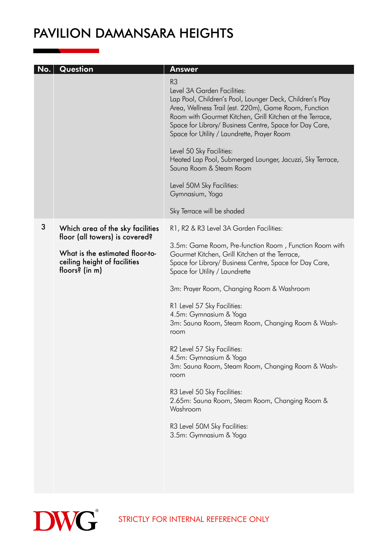| No. | Question                                                                          | <b>Answer</b>                                                                                                                                                                                                                                                                                                                                                        |
|-----|-----------------------------------------------------------------------------------|----------------------------------------------------------------------------------------------------------------------------------------------------------------------------------------------------------------------------------------------------------------------------------------------------------------------------------------------------------------------|
|     |                                                                                   | R <sub>3</sub><br>Level 3A Garden Facilities:<br>Lap Pool, Children's Pool, Lounger Deck, Children's Play<br>Area, Wellness Trail (est. 220m), Game Room, Function<br>Room with Gourmet Kitchen, Grill Kitchen at the Terrace,<br>Space for Library/ Business Centre, Space for Day Care,<br>Space for Utility / Laundrette, Prayer Room<br>Level 50 Sky Facilities: |
|     |                                                                                   | Heated Lap Pool, Submerged Lounger, Jacuzzi, Sky Terrace,<br>Sauna Room & Steam Room                                                                                                                                                                                                                                                                                 |
|     |                                                                                   | Level 50M Sky Facilities:<br>Gymnasium, Yoga                                                                                                                                                                                                                                                                                                                         |
|     |                                                                                   | Sky Terrace will be shaded                                                                                                                                                                                                                                                                                                                                           |
| 3   | Which area of the sky facilities<br>floor (all towers) is covered?                | R1, R2 & R3 Level 3A Garden Facilities:                                                                                                                                                                                                                                                                                                                              |
|     | What is the estimated floor-to-<br>ceiling height of facilities<br>floors? (in m) | 3.5m: Game Room, Pre-function Room, Function Room with<br>Gourmet Kitchen, Grill Kitchen at the Terrace,<br>Space for Library/ Business Centre, Space for Day Care,<br>Space for Utility / Laundrette                                                                                                                                                                |
|     |                                                                                   | 3m: Prayer Room, Changing Room & Washroom                                                                                                                                                                                                                                                                                                                            |
|     |                                                                                   | R1 Level 57 Sky Facilities:<br>4.5m: Gymnasium & Yoga<br>3m: Sauna Room, Steam Room, Changing Room & Wash-<br>room                                                                                                                                                                                                                                                   |
|     |                                                                                   | R2 Level 57 Sky Facilities:<br>4.5m: Gymnasium & Yoga<br>3m: Sauna Room, Steam Room, Changing Room & Wash-<br>room                                                                                                                                                                                                                                                   |
|     |                                                                                   | R3 Level 50 Sky Facilities:<br>2.65m: Sauna Room, Steam Room, Changing Room &<br>Washroom                                                                                                                                                                                                                                                                            |
|     |                                                                                   | R3 Level 50M Sky Facilities:<br>3.5m: Gymnasium & Yoga                                                                                                                                                                                                                                                                                                               |
|     |                                                                                   |                                                                                                                                                                                                                                                                                                                                                                      |



STRICTLY FOR INTERNAL REFERENCE ONLY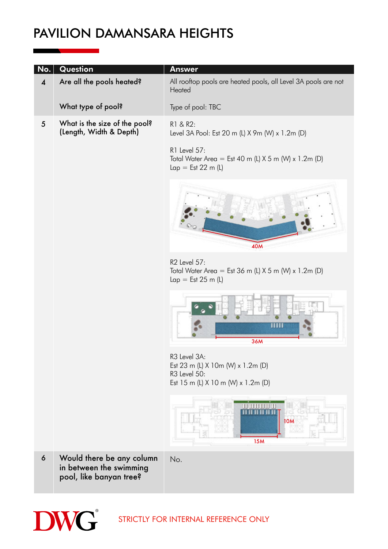| No.                     | Question                                                                        | <b>Answer</b>                                                                                           |
|-------------------------|---------------------------------------------------------------------------------|---------------------------------------------------------------------------------------------------------|
| $\overline{\mathbf{4}}$ | Are all the pools heated?                                                       | All rooftop pools are heated pools, all Level 3A pools are not<br>Heated                                |
|                         | What type of pool?                                                              | Type of pool: TBC                                                                                       |
| $\sqrt{5}$              | What is the size of the pool?<br>(Length, Width & Depth)                        | R1 & R2:<br>Level 3A Pool: Est 20 m (L) X 9m (W) x 1.2m (D)                                             |
|                         |                                                                                 | R1 Level 57:<br>Total Water Area = Est 40 m (L) $X$ 5 m (W) x 1.2m (D)<br>$Lap = Est 22 m (L)$          |
|                         |                                                                                 | <b>40M</b>                                                                                              |
|                         |                                                                                 | R2 Level 57:<br>Total Water Area = Est 36 m (L) $X$ 5 m (W) x 1.2m (D)<br>$Lap = Est 25 m (L)$          |
|                         |                                                                                 | Ш<br><b>36M</b>                                                                                         |
|                         |                                                                                 | R3 Level 3A:<br>Est 23 m (L) X 10m (W) x 1.2m (D)<br>R3 Level 50:<br>Est 15 m (L) X 10 m (W) x 1.2m (D) |
|                         |                                                                                 | <b>TETHININI</b><br><b>10M</b><br><b>15M</b>                                                            |
| $\boldsymbol{6}$        | Would there be any column<br>in between the swimming<br>pool, like banyan tree? | No.                                                                                                     |